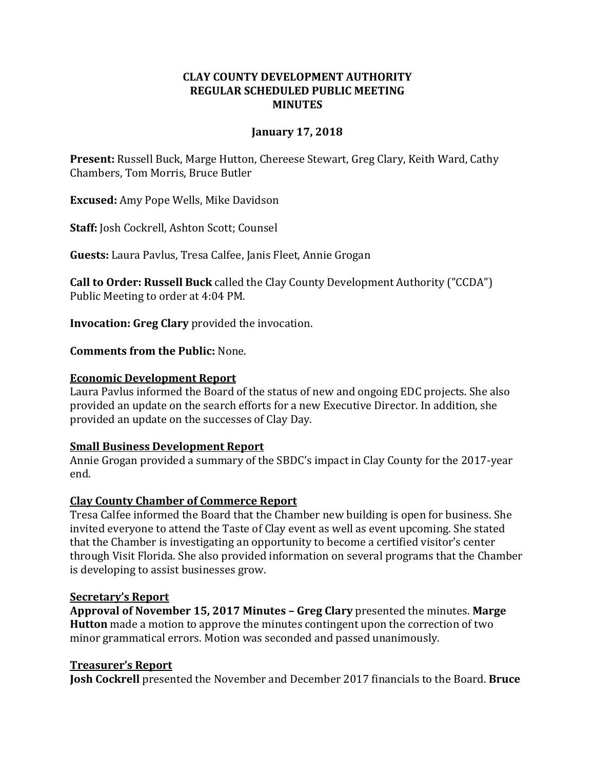## **CLAY COUNTY DEVELOPMENT AUTHORITY REGULAR SCHEDULED PUBLIC MEETING MINUTES**

### **January 17, 2018**

**Present:** Russell Buck, Marge Hutton, Chereese Stewart, Greg Clary, Keith Ward, Cathy Chambers, Tom Morris, Bruce Butler

**Excused:** Amy Pope Wells, Mike Davidson

**Staff:** Josh Cockrell, Ashton Scott; Counsel

**Guests:** Laura Pavlus, Tresa Calfee, Janis Fleet, Annie Grogan

**Call to Order: Russell Buck** called the Clay County Development Authority ("CCDA") Public Meeting to order at 4:04 PM.

**Invocation: Greg Clary** provided the invocation.

**Comments from the Public:** None.

#### **Economic Development Report**

Laura Pavlus informed the Board of the status of new and ongoing EDC projects. She also provided an update on the search efforts for a new Executive Director. In addition, she provided an update on the successes of Clay Day.

#### **Small Business Development Report**

Annie Grogan provided a summary of the SBDC's impact in Clay County for the 2017-year end.

#### **Clay County Chamber of Commerce Report**

Tresa Calfee informed the Board that the Chamber new building is open for business. She invited everyone to attend the Taste of Clay event as well as event upcoming. She stated that the Chamber is investigating an opportunity to become a certified visitor's center through Visit Florida. She also provided information on several programs that the Chamber is developing to assist businesses grow.

#### **Secretary's Report**

**Approval of November 15, 2017 Minutes – Greg Clary** presented the minutes. **Marge Hutton** made a motion to approve the minutes contingent upon the correction of two minor grammatical errors. Motion was seconded and passed unanimously.

#### **Treasurer's Report**

**Josh Cockrell** presented the November and December 2017 financials to the Board. **Bruce**